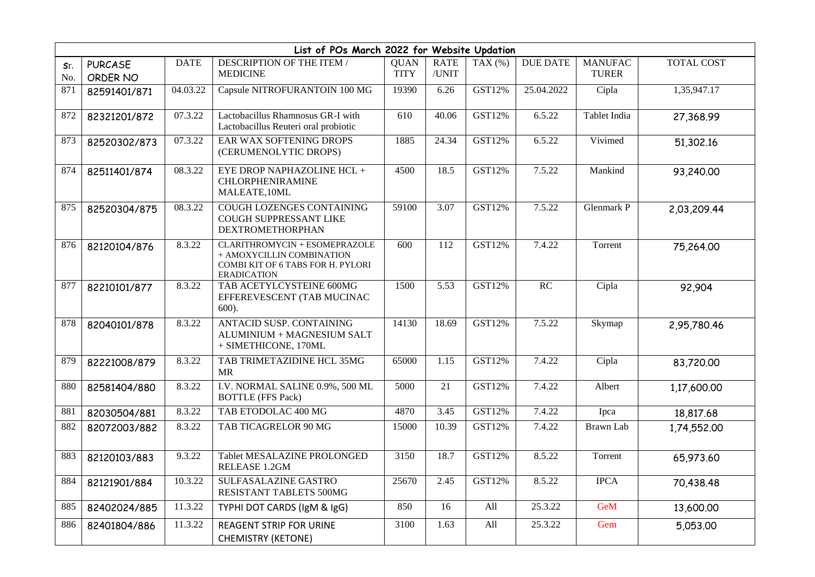| List of POs March 2022 for Website Updation |                            |             |                                                                                                                       |                            |                      |           |                 |                                |             |
|---------------------------------------------|----------------------------|-------------|-----------------------------------------------------------------------------------------------------------------------|----------------------------|----------------------|-----------|-----------------|--------------------------------|-------------|
| Sr.<br>No.                                  | <b>PURCASE</b><br>ORDER NO | <b>DATE</b> | DESCRIPTION OF THE ITEM /<br><b>MEDICINE</b>                                                                          | <b>QUAN</b><br><b>TITY</b> | <b>RATE</b><br>/UNIT | TAX $(%)$ | <b>DUE DATE</b> | <b>MANUFAC</b><br><b>TURER</b> | TOTAL COST  |
| 871                                         | 82591401/871               | 04.03.22    | Capsule NITROFURANTOIN 100 MG                                                                                         | 19390                      | 6.26                 | GST12%    | 25.04.2022      | Cipla                          | 1,35,947.17 |
| 872                                         | 82321201/872               | 07.3.22     | Lactobacillus Rhamnosus GR-I with<br>Lactobacillus Reuteri oral probiotic                                             | 610                        | 40.06                | GST12%    | 6.5.22          | Tablet India                   | 27,368.99   |
| 873                                         | 82520302/873               | 07.3.22     | EAR WAX SOFTENING DROPS<br>(CERUMENOLYTIC DROPS)                                                                      | 1885                       | 24.34                | GST12%    | 6.5.22          | Vivimed                        | 51,302.16   |
| 874                                         | 82511401/874               | 08.3.22     | EYE DROP NAPHAZOLINE HCL +<br><b>CHLORPHENIRAMINE</b><br>MALEATE, 10ML                                                | 4500                       | 18.5                 | GST12%    | 7.5.22          | Mankind                        | 93,240.00   |
| 875                                         | 82520304/875               | 08.3.22     | <b>COUGH LOZENGES CONTAINING</b><br>COUGH SUPPRESSANT LIKE<br><b>DEXTROMETHORPHAN</b>                                 | 59100                      | 3.07                 | GST12%    | 7.5.22          | Glenmark P                     | 2,03,209.44 |
| 876                                         | 82120104/876               | 8.3.22      | CLARITHROMYCIN + ESOMEPRAZOLE<br>+ AMOXYCILLIN COMBINATION<br>COMBI KIT OF 6 TABS FOR H. PYLORI<br><b>ERADICATION</b> | 600                        | 112                  | GST12%    | 7.4.22          | Torrent                        | 75,264.00   |
| 877                                         | 82210101/877               | 8.3.22      | TAB ACETYLCYSTEINE 600MG<br>EFFEREVESCENT (TAB MUCINAC<br>$600$ ).                                                    | 1500                       | 5.53                 | GST12%    | RC              | Cipla                          | 92,904      |
| 878                                         | 82040101/878               | 8.3.22      | <b>ANTACID SUSP. CONTAINING</b><br>ALUMINIUM + MAGNESIUM SALT<br>+ SIMETHICONE, 170ML                                 | 14130                      | 18.69                | GST12%    | 7.5.22          | Skymap                         | 2,95,780.46 |
| 879                                         | 82221008/879               | 8.3.22      | TAB TRIMETAZIDINE HCL 35MG<br><b>MR</b>                                                                               | 65000                      | 1.15                 | GST12%    | 7.4.22          | Cipla                          | 83,720.00   |
| 880                                         | 82581404/880               | 8.3.22      | I.V. NORMAL SALINE 0.9%, 500 ML<br><b>BOTTLE</b> (FFS Pack)                                                           | 5000                       | 21                   | GST12%    | 7.4.22          | Albert                         | 1,17,600.00 |
| 881                                         | 82030504/881               | 8.3.22      | TAB ETODOLAC 400 MG                                                                                                   | 4870                       | 3.45                 | GST12%    | 7.4.22          | Ipca                           | 18,817.68   |
| 882                                         | 82072003/882               | 8.3.22      | TAB TICAGRELOR 90 MG                                                                                                  | 15000                      | 10.39                | GST12%    | 7.4.22          | <b>Brawn</b> Lab               | 1,74,552.00 |
| 883                                         | 82120103/883               | 9.3.22      | Tablet MESALAZINE PROLONGED<br>RELEASE 1.2GM                                                                          | 3150                       | 18.7                 | GST12%    | 8.5.22          | Torrent                        | 65,973.60   |
| 884                                         | 82121901/884               | 10.3.22     | <b>SULFASALAZINE GASTRO</b><br>RESISTANT TABLETS 500MG                                                                | 25670                      | 2.45                 | GST12%    | 8.5.22          | <b>IPCA</b>                    | 70,438.48   |
| 885                                         | 82402024/885               | 11.3.22     | TYPHI DOT CARDS (IgM & IgG)                                                                                           | 850                        | 16                   | All       | 25.3.22         | GeM                            | 13,600.00   |
| 886                                         | 82401804/886               | 11.3.22     | <b>REAGENT STRIP FOR URINE</b><br><b>CHEMISTRY (KETONE)</b>                                                           | 3100                       | 1.63                 | All       | 25.3.22         | Gem                            | 5,053.00    |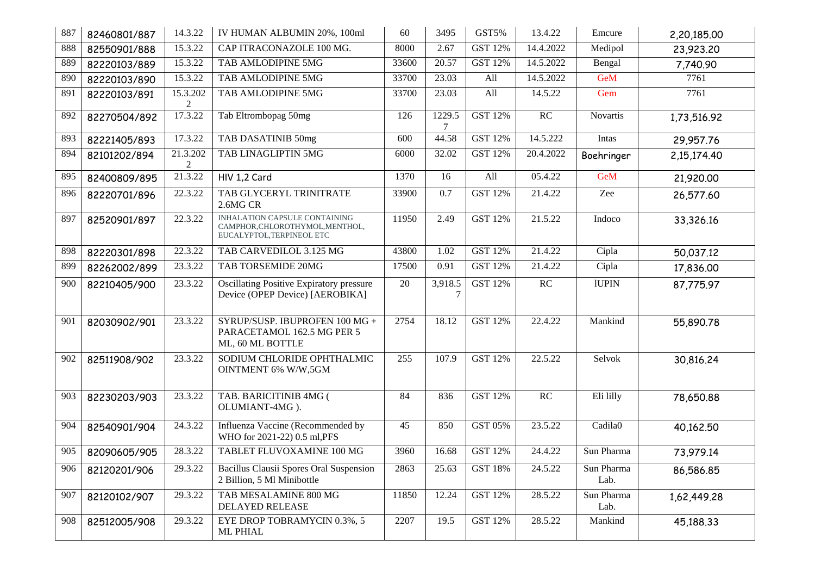| 887 | 82460801/887 | 14.3.22                    | IV HUMAN ALBUMIN 20%, 100ml                                                                   | 60     | 3495              | GST5%          | 13.4.22   | Emcure             | 2,20,185.00 |
|-----|--------------|----------------------------|-----------------------------------------------------------------------------------------------|--------|-------------------|----------------|-----------|--------------------|-------------|
| 888 | 82550901/888 | 15.3.22                    | CAP ITRACONAZOLE 100 MG.                                                                      | 8000   | 2.67              | <b>GST 12%</b> | 14.4.2022 | Medipol            | 23,923.20   |
| 889 | 82220103/889 | 15.3.22                    | TAB AMLODIPINE 5MG                                                                            | 33600  | 20.57             | <b>GST 12%</b> | 14.5.2022 | Bengal             | 7,740.90    |
| 890 | 82220103/890 | 15.3.22                    | TAB AMLODIPINE 5MG                                                                            | 33700  | 23.03             | All            | 14.5.2022 | <b>GeM</b>         | 7761        |
| 891 | 82220103/891 | 15.3.202<br>$\overline{2}$ | TAB AMLODIPINE 5MG                                                                            | 33700  | 23.03             | All            | 14.5.22   | Gem                | 7761        |
| 892 | 82270504/892 | 17.3.22                    | Tab Eltrombopag 50mg                                                                          | 126    | 1229.5<br>7       | <b>GST 12%</b> | RC        | <b>Novartis</b>    | 1,73,516.92 |
| 893 | 82221405/893 | 17.3.22                    | TAB DASATINIB 50mg                                                                            | 600    | 44.58             | GST 12%        | 14.5.222  | Intas              | 29,957.76   |
| 894 | 82101202/894 | 21.3.202<br>2              | TAB LINAGLIPTIN 5MG                                                                           | 6000   | 32.02             | <b>GST 12%</b> | 20.4.2022 | Boehringer         | 2,15,174.40 |
| 895 | 82400809/895 | 21.3.22                    | HIV 1,2 Card                                                                                  | 1370   | 16                | All            | 05.4.22   | GeM                | 21,920.00   |
| 896 | 82220701/896 | 22.3.22                    | TAB GLYCERYL TRINITRATE<br>2.6MG CR                                                           | 33900  | 0.7               | GST 12%        | 21.4.22   | Zee                | 26,577.60   |
| 897 | 82520901/897 | 22.3.22                    | INHALATION CAPSULE CONTAINING<br>CAMPHOR, CHLOROTHYMOL, MENTHOL,<br>EUCALYPTOL, TERPINEOL ETC | 11950  | $\overline{2.49}$ | <b>GST 12%</b> | 21.5.22   | Indoco             | 33,326.16   |
| 898 | 82220301/898 | 22.3.22                    | TAB CARVEDILOL 3.125 MG                                                                       | 43800  | 1.02              | GST 12%        | 21.4.22   | Cipla              | 50,037.12   |
| 899 | 82262002/899 | 23.3.22                    | TAB TORSEMIDE 20MG                                                                            | 17500  | 0.91              | GST 12%        | 21.4.22   | Cipla              | 17,836.00   |
| 900 | 82210405/900 | 23.3.22                    | Oscillating Positive Expiratory pressure<br>Device (OPEP Device) [AEROBIKA]                   | $20\,$ | 3,918.5<br>7      | GST 12%        | RC        | <b>IUPIN</b>       | 87,775.97   |
| 901 | 82030902/901 | 23.3.22                    | SYRUP/SUSP. IBUPROFEN 100 MG +<br>PARACETAMOL 162.5 MG PER 5<br>ML, 60 ML BOTTLE              | 2754   | 18.12             | GST 12%        | 22.4.22   | Mankind            | 55,890.78   |
| 902 | 82511908/902 | 23.3.22                    | SODIUM CHLORIDE OPHTHALMIC<br><b>OINTMENT 6% W/W,5GM</b>                                      | 255    | 107.9             | <b>GST 12%</b> | 22.5.22   | Selvok             | 30,816.24   |
| 903 | 82230203/903 | 23.3.22                    | TAB. BARICITINIB 4MG (<br>OLUMIANT-4MG).                                                      | 84     | 836               | <b>GST 12%</b> | RC        | Eli lilly          | 78,650.88   |
| 904 | 82540901/904 | 24.3.22                    | Influenza Vaccine (Recommended by<br>WHO for 2021-22) 0.5 ml, PFS                             | 45     | 850               | GST 05%        | 23.5.22   | Cadila0            | 40,162.50   |
| 905 | 82090605/905 | 28.3.22                    | TABLET FLUVOXAMINE 100 MG                                                                     | 3960   | 16.68             | GST 12%        | 24.4.22   | Sun Pharma         | 73,979.14   |
| 906 | 82120201/906 | 29.3.22                    | Bacillus Clausii Spores Oral Suspension<br>2 Billion, 5 Ml Minibottle                         | 2863   | 25.63             | <b>GST 18%</b> | 24.5.22   | Sun Pharma<br>Lab. | 86,586.85   |
| 907 | 82120102/907 | 29.3.22                    | TAB MESALAMINE 800 MG<br>DELAYED RELEASE                                                      | 11850  | 12.24             | GST 12%        | 28.5.22   | Sun Pharma<br>Lab. | 1,62,449.28 |
| 908 | 82512005/908 | 29.3.22                    | EYE DROP TOBRAMYCIN 0.3%, 5<br>ML PHIAL                                                       | 2207   | 19.5              | GST 12%        | 28.5.22   | Mankind            | 45,188.33   |